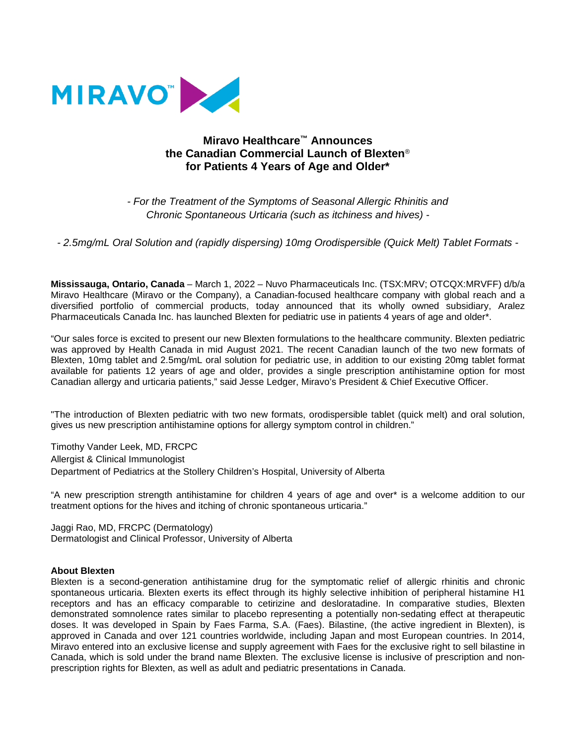

# **Miravo Healthcare™ Announces the Canadian Commercial Launch of Blexten**® **for Patients 4 Years of Age and Older\***

*- For the Treatment of the Symptoms of Seasonal Allergic Rhinitis and Chronic Spontaneous Urticaria (such as itchiness and hives) -*

*- 2.5mg/mL Oral Solution and (rapidly dispersing) 10mg Orodispersible (Quick Melt) Tablet Formats -*

**Mississauga, Ontario, Canada** – March 1, 2022 – Nuvo Pharmaceuticals Inc. (TSX:MRV; OTCQX:MRVFF) d/b/a Miravo Healthcare (Miravo or the Company), a Canadian-focused healthcare company with global reach and a diversified portfolio of commercial products, today announced that its wholly owned subsidiary, Aralez Pharmaceuticals Canada Inc. has launched Blexten for pediatric use in patients 4 years of age and older\*.

"Our sales force is excited to present our new Blexten formulations to the healthcare community. Blexten pediatric was approved by Health Canada in mid August 2021. The recent Canadian launch of the two new formats of Blexten, 10mg tablet and 2.5mg/mL oral solution for pediatric use, in addition to our existing 20mg tablet format available for patients 12 years of age and older, provides a single prescription antihistamine option for most Canadian allergy and urticaria patients," said Jesse Ledger, Miravo's President & Chief Executive Officer.

"The introduction of Blexten pediatric with two new formats, orodispersible tablet (quick melt) and oral solution, gives us new prescription antihistamine options for allergy symptom control in children."

Timothy Vander Leek, MD, FRCPC Allergist & Clinical Immunologist Department of Pediatrics at the Stollery Children's Hospital, University of Alberta

"A new prescription strength antihistamine for children 4 years of age and over\* is a welcome addition to our treatment options for the hives and itching of chronic spontaneous urticaria."

Jaggi Rao, MD, FRCPC (Dermatology) Dermatologist and Clinical Professor, University of Alberta

## **About Blexten**

Blexten is a second-generation antihistamine drug for the symptomatic relief of allergic rhinitis and chronic spontaneous urticaria. Blexten exerts its effect through its highly selective inhibition of peripheral histamine H1 receptors and has an efficacy comparable to cetirizine and desloratadine. In comparative studies, Blexten demonstrated somnolence rates similar to placebo representing a potentially non-sedating effect at therapeutic doses. It was developed in Spain by Faes Farma, S.A. (Faes). Bilastine, (the active ingredient in Blexten), is approved in Canada and over 121 countries worldwide, including Japan and most European countries. In 2014, Miravo entered into an exclusive license and supply agreement with Faes for the exclusive right to sell bilastine in Canada, which is sold under the brand name Blexten. The exclusive license is inclusive of prescription and nonprescription rights for Blexten, as well as adult and pediatric presentations in Canada.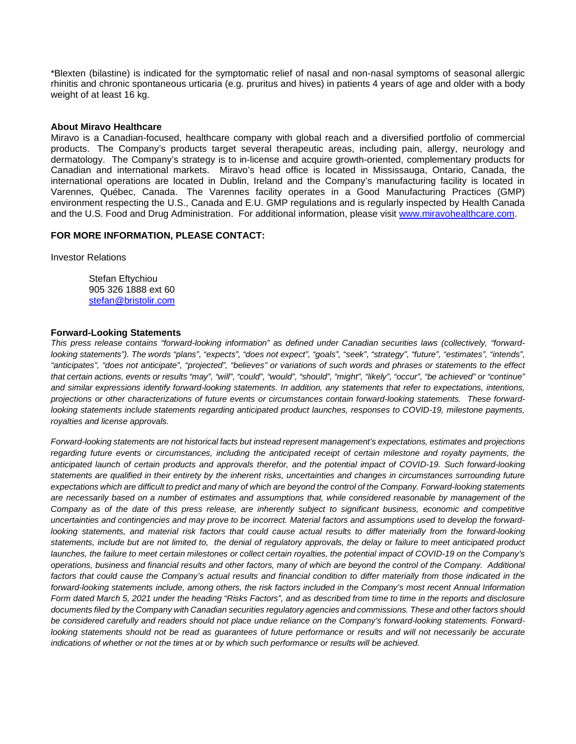\*Blexten (bilastine) is indicated for the symptomatic relief of nasal and non-nasal symptoms of seasonal allergic rhinitis and chronic spontaneous urticaria (e.g. pruritus and hives) in patients 4 years of age and older with a body weight of at least 16 kg.

### **About Miravo Healthcare**

Miravo is a Canadian-focused, healthcare company with global reach and a diversified portfolio of commercial products. The Company's products target several therapeutic areas, including pain, allergy, neurology and dermatology. The Company's strategy is to in-license and acquire growth-oriented, complementary products for Canadian and international markets. Miravo's head office is located in Mississauga, Ontario, Canada, the international operations are located in Dublin, Ireland and the Company's manufacturing facility is located in Varennes, Québec, Canada. The Varennes facility operates in a Good Manufacturing Practices (GMP) environment respecting the U.S., Canada and E.U. GMP regulations and is regularly inspected by Health Canada and the U.S. Food and Drug Administration. For additional information, please visit [www.miravohealthcare.com.](http://www.miravohealthcare.com/)

### **FOR MORE INFORMATION, PLEASE CONTACT:**

Investor Relations

Stefan Eftychiou 905 326 1888 ext 60 [stefan@bristolir.com](mailto:stefan@bristolir.com)

### **Forward-Looking Statements**

*This press release contains "forward-looking information" as defined under Canadian securities laws (collectively, "forwardlooking statements"). The words "plans", "expects", "does not expect", "goals", "seek", "strategy", "future", "estimates", "intends", "anticipates", "does not anticipate", "projected", "believes" or variations of such words and phrases or statements to the effect that certain actions, events or results "may", "will", "could", "would", "should", "might", "likely", "occur", "be achieved" or "continue" and similar expressions identify forward-looking statements. In addition, any statements that refer to expectations, intentions, projections or other characterizations of future events or circumstances contain forward-looking statements. These forwardlooking statements include statements regarding anticipated product launches, responses to COVID-19, milestone payments, royalties and license approvals.*

*Forward-looking statements are not historical facts but instead represent management's expectations, estimates and projections regarding future events or circumstances, including the anticipated receipt of certain milestone and royalty payments, the anticipated launch of certain products and approvals therefor, and the potential impact of COVID-19. Such forward-looking statements are qualified in their entirety by the inherent risks, uncertainties and changes in circumstances surrounding future expectations which are difficult to predict and many of which are beyond the control of the Company. Forward-looking statements are necessarily based on a number of estimates and assumptions that, while considered reasonable by management of the Company as of the date of this press release, are inherently subject to significant business, economic and competitive uncertainties and contingencies and may prove to be incorrect. Material factors and assumptions used to develop the forwardlooking statements, and material risk factors that could cause actual results to differ materially from the forward-looking statements, include but are not limited to, the denial of regulatory approvals, the delay or failure to meet anticipated product launches, the failure to meet certain milestones or collect certain royalties, the potential impact of COVID-19 on the Company's operations, business and financial results and other factors, many of which are beyond the control of the Company. Additional*  factors that could cause the Company's actual results and financial condition to differ materially from those indicated in the *forward-looking statements include, among others, the risk factors included in the Company's most recent Annual Information Form dated March 5, 2021 under the heading "Risks Factors", and as described from time to time in the reports and disclosure documents filed by the Company with Canadian securities regulatory agencies and commissions. These and other factors should be considered carefully and readers should not place undue reliance on the Company's forward-looking statements. Forward*looking statements should not be read as quarantees of future performance or results and will not necessarily be accurate *indications of whether or not the times at or by which such performance or results will be achieved.*